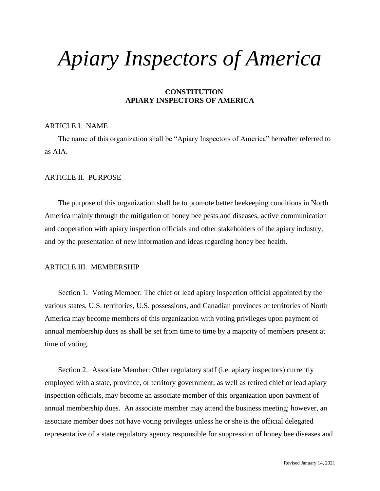# *Apiary Inspectors of America*

# **CONSTITUTION APIARY INSPECTORS OF AMERICA**

## ARTICLE I. NAME

The name of this organization shall be "Apiary Inspectors of America" hereafter referred to as AIA.

## ARTICLE II. PURPOSE

The purpose of this organization shall be to promote better beekeeping conditions in North America mainly through the mitigation of honey bee pests and diseases, active communication and cooperation with apiary inspection officials and other stakeholders of the apiary industry, and by the presentation of new information and ideas regarding honey bee health.

## ARTICLE III. MEMBERSHIP

Section 1. Voting Member: The chief or lead apiary inspection official appointed by the various states, U.S. territories, U.S. possessions, and Canadian provinces or territories of North America may become members of this organization with voting privileges upon payment of annual membership dues as shall be set from time to time by a majority of members present at time of voting.

Section 2. Associate Member: Other regulatory staff (i.e. apiary inspectors) currently employed with a state, province, or territory government, as well as retired chief or lead apiary inspection officials, may become an associate member of this organization upon payment of annual membership dues. An associate member may attend the business meeting; however, an associate member does not have voting privileges unless he or she is the official delegated representative of a state regulatory agency responsible for suppression of honey bee diseases and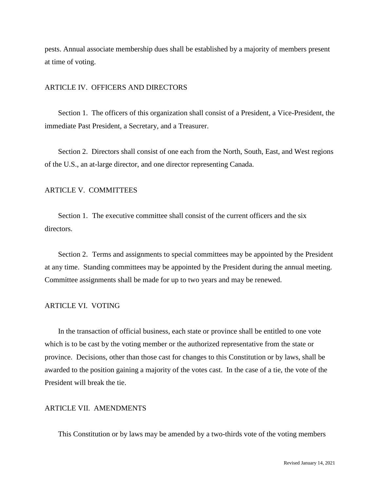pests. Annual associate membership dues shall be established by a majority of members present at time of voting.

#### ARTICLE IV. OFFICERS AND DIRECTORS

Section 1. The officers of this organization shall consist of a President, a Vice-President, the immediate Past President, a Secretary, and a Treasurer.

Section 2. Directors shall consist of one each from the North, South, East, and West regions of the U.S., an at-large director, and one director representing Canada.

#### ARTICLE V. COMMITTEES

Section 1. The executive committee shall consist of the current officers and the six directors.

Section 2. Terms and assignments to special committees may be appointed by the President at any time. Standing committees may be appointed by the President during the annual meeting. Committee assignments shall be made for up to two years and may be renewed.

#### ARTICLE VI. VOTING

In the transaction of official business, each state or province shall be entitled to one vote which is to be cast by the voting member or the authorized representative from the state or province. Decisions, other than those cast for changes to this Constitution or by laws, shall be awarded to the position gaining a majority of the votes cast. In the case of a tie, the vote of the President will break the tie.

#### ARTICLE VII. AMENDMENTS

This Constitution or by laws may be amended by a two-thirds vote of the voting members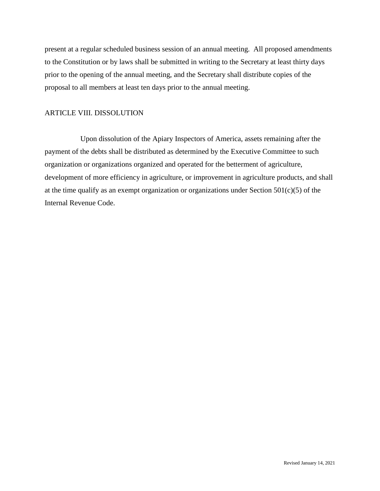present at a regular scheduled business session of an annual meeting. All proposed amendments to the Constitution or by laws shall be submitted in writing to the Secretary at least thirty days prior to the opening of the annual meeting, and the Secretary shall distribute copies of the proposal to all members at least ten days prior to the annual meeting.

# ARTICLE VIII. DISSOLUTION

Upon dissolution of the Apiary Inspectors of America, assets remaining after the payment of the debts shall be distributed as determined by the Executive Committee to such organization or organizations organized and operated for the betterment of agriculture, development of more efficiency in agriculture, or improvement in agriculture products, and shall at the time qualify as an exempt organization or organizations under Section  $501(c)(5)$  of the Internal Revenue Code.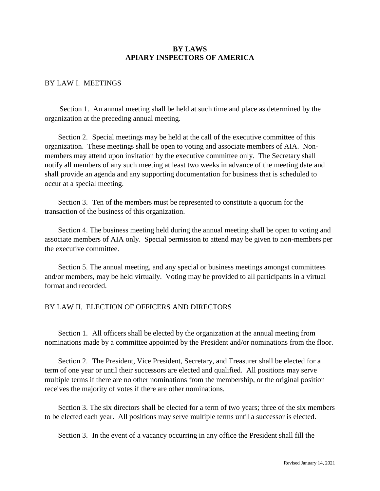# **BY LAWS APIARY INSPECTORS OF AMERICA**

# BY LAW I. MEETINGS

Section 1. An annual meeting shall be held at such time and place as determined by the organization at the preceding annual meeting.

Section 2. Special meetings may be held at the call of the executive committee of this organization. These meetings shall be open to voting and associate members of AIA. Nonmembers may attend upon invitation by the executive committee only. The Secretary shall notify all members of any such meeting at least two weeks in advance of the meeting date and shall provide an agenda and any supporting documentation for business that is scheduled to occur at a special meeting.

Section 3. Ten of the members must be represented to constitute a quorum for the transaction of the business of this organization.

Section 4. The business meeting held during the annual meeting shall be open to voting and associate members of AIA only. Special permission to attend may be given to non-members per the executive committee.

Section 5. The annual meeting, and any special or business meetings amongst committees and/or members, may be held virtually. Voting may be provided to all participants in a virtual format and recorded.

## BY LAW II. ELECTION OF OFFICERS AND DIRECTORS

Section 1. All officers shall be elected by the organization at the annual meeting from nominations made by a committee appointed by the President and/or nominations from the floor.

Section 2. The President, Vice President, Secretary, and Treasurer shall be elected for a term of one year or until their successors are elected and qualified. All positions may serve multiple terms if there are no other nominations from the membership, or the original position receives the majority of votes if there are other nominations.

Section 3. The six directors shall be elected for a term of two years; three of the six members to be elected each year. All positions may serve multiple terms until a successor is elected.

Section 3. In the event of a vacancy occurring in any office the President shall fill the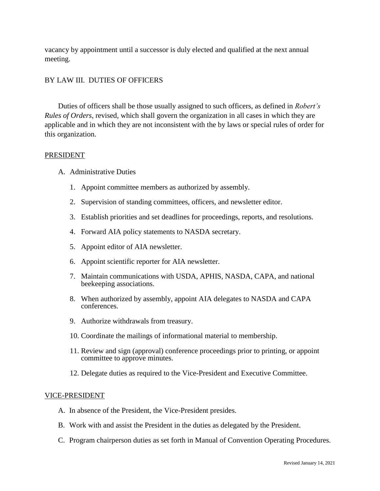vacancy by appointment until a successor is duly elected and qualified at the next annual meeting.

## BY LAW III. DUTIES OF OFFICERS

Duties of officers shall be those usually assigned to such officers, as defined in *Robert's Rules of Orders*, revised, which shall govern the organization in all cases in which they are applicable and in which they are not inconsistent with the by laws or special rules of order for this organization.

#### PRESIDENT

- A. Administrative Duties
	- 1. Appoint committee members as authorized by assembly.
	- 2. Supervision of standing committees, officers, and newsletter editor.
	- 3. Establish priorities and set deadlines for proceedings, reports, and resolutions.
	- 4. Forward AIA policy statements to NASDA secretary.
	- 5. Appoint editor of AIA newsletter.
	- 6. Appoint scientific reporter for AIA newsletter.
	- 7. Maintain communications with USDA, APHIS, NASDA, CAPA, and national beekeeping associations.
	- 8. When authorized by assembly, appoint AIA delegates to NASDA and CAPA conferences.
	- 9. Authorize withdrawals from treasury.
	- 10. Coordinate the mailings of informational material to membership.
	- 11. Review and sign (approval) conference proceedings prior to printing, or appoint committee to approve minutes.
	- 12. Delegate duties as required to the Vice-President and Executive Committee.

#### VICE-PRESIDENT

- A. In absence of the President, the Vice-President presides.
- B. Work with and assist the President in the duties as delegated by the President.
- C. Program chairperson duties as set forth in Manual of Convention Operating Procedures.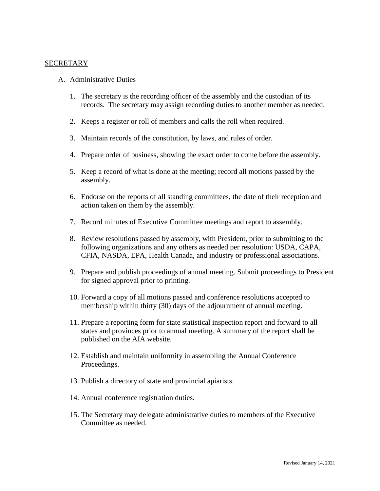## SECRETARY

- A. Administrative Duties
	- 1. The secretary is the recording officer of the assembly and the custodian of its records. The secretary may assign recording duties to another member as needed.
	- 2. Keeps a register or roll of members and calls the roll when required.
	- 3. Maintain records of the constitution, by laws, and rules of order.
	- 4. Prepare order of business, showing the exact order to come before the assembly.
	- 5. Keep a record of what is done at the meeting; record all motions passed by the assembly.
	- 6. Endorse on the reports of all standing committees, the date of their reception and action taken on them by the assembly.
	- 7. Record minutes of Executive Committee meetings and report to assembly.
	- 8. Review resolutions passed by assembly, with President, prior to submitting to the following organizations and any others as needed per resolution: USDA, CAPA, CFIA, NASDA, EPA, Health Canada, and industry or professional associations.
	- 9. Prepare and publish proceedings of annual meeting. Submit proceedings to President for signed approval prior to printing.
	- 10. Forward a copy of all motions passed and conference resolutions accepted to membership within thirty (30) days of the adjournment of annual meeting.
	- 11. Prepare a reporting form for state statistical inspection report and forward to all states and provinces prior to annual meeting. A summary of the report shall be published on the AIA website.
	- 12. Establish and maintain uniformity in assembling the Annual Conference Proceedings.
	- 13. Publish a directory of state and provincial apiarists.
	- 14. Annual conference registration duties.
	- 15. The Secretary may delegate administrative duties to members of the Executive Committee as needed.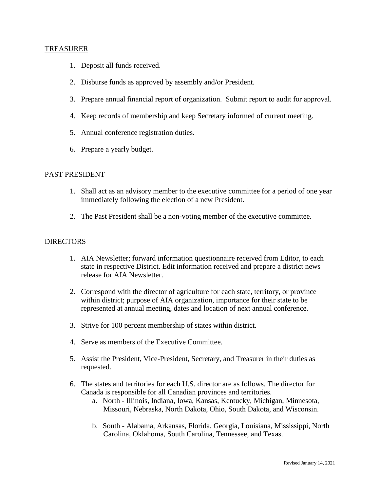## TREASURER

- 1. Deposit all funds received.
- 2. Disburse funds as approved by assembly and/or President.
- 3. Prepare annual financial report of organization. Submit report to audit for approval.
- 4. Keep records of membership and keep Secretary informed of current meeting.
- 5. Annual conference registration duties.
- 6. Prepare a yearly budget.

## PAST PRESIDENT

- 1. Shall act as an advisory member to the executive committee for a period of one year immediately following the election of a new President.
- 2. The Past President shall be a non-voting member of the executive committee.

# DIRECTORS

- 1. AIA Newsletter; forward information questionnaire received from Editor, to each state in respective District. Edit information received and prepare a district news release for AIA Newsletter.
- 2. Correspond with the director of agriculture for each state, territory, or province within district; purpose of AIA organization, importance for their state to be represented at annual meeting, dates and location of next annual conference.
- 3. Strive for 100 percent membership of states within district.
- 4. Serve as members of the Executive Committee.
- 5. Assist the President, Vice-President, Secretary, and Treasurer in their duties as requested.
- 6. The states and territories for each U.S. director are as follows. The director for Canada is responsible for all Canadian provinces and territories.
	- a. North Illinois, Indiana, Iowa, Kansas, Kentucky, Michigan, Minnesota, Missouri, Nebraska, North Dakota, Ohio, South Dakota, and Wisconsin.
	- b. South Alabama, Arkansas, Florida, Georgia, Louisiana, Mississippi, North Carolina, Oklahoma, South Carolina, Tennessee, and Texas.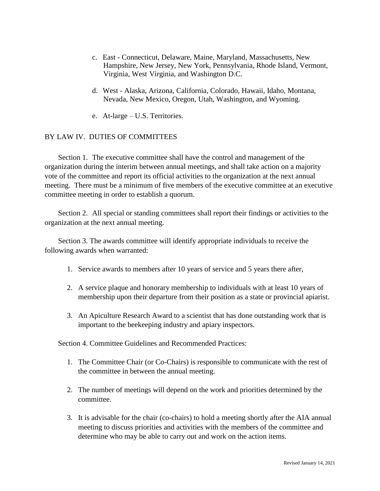- c. East Connecticut, Delaware, Maine, Maryland, Massachusetts, New Hampshire, New Jersey, New York, Pennsylvania, Rhode Island, Vermont, Virginia, West Virginia, and Washington D.C.
- d. West Alaska, Arizona, California, Colorado, Hawaii, Idaho, Montana, Nevada, New Mexico, Oregon, Utah, Washington, and Wyoming.
- e. At-large U.S. Territories.

# BY LAW IV. DUTIES OF COMMITTEES

Section 1. The executive committee shall have the control and management of the organization during the interim between annual meetings, and shall take action on a majority vote of the committee and report its official activities to the organization at the next annual meeting. There must be a minimum of five members of the executive committee at an executive committee meeting in order to establish a quorum.

Section 2. All special or standing committees shall report their findings or activities to the organization at the next annual meeting.

Section 3. The awards committee will identify appropriate individuals to receive the following awards when warranted:

- 1. Service awards to members after 10 years of service and 5 years there after,
- 2. A service plaque and honorary membership to individuals with at least 10 years of membership upon their departure from their position as a state or provincial apiarist.
- 3. An Apiculture Research Award to a scientist that has done outstanding work that is important to the beekeeping industry and apiary inspectors.

Section 4. Committee Guidelines and Recommended Practices:

- 1. The Committee Chair (or Co-Chairs) is responsible to communicate with the rest of the committee in between the annual meeting.
- 2. The number of meetings will depend on the work and priorities determined by the committee.
- 3. It is advisable for the chair (co-chairs) to hold a meeting shortly after the AIA annual meeting to discuss priorities and activities with the members of the committee and determine who may be able to carry out and work on the action items.